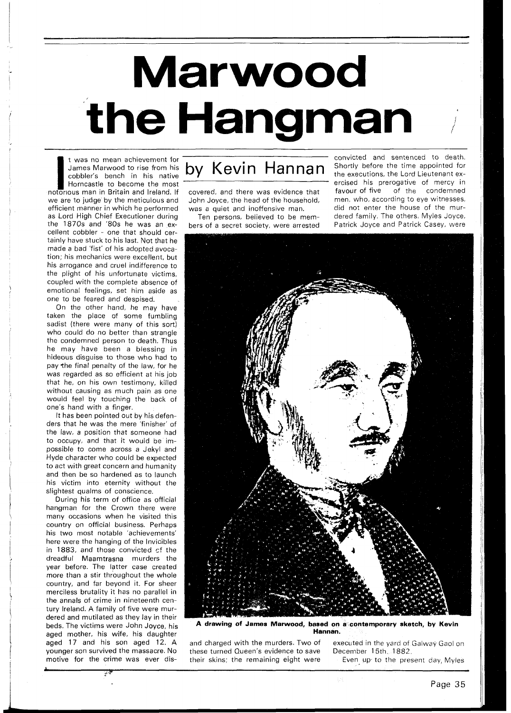## **Marwood** the Hangman

James Marwood to rise from his cobbler's bench in his native Horncastle to become the most notorious man in Britain and Ireland. If we are to judge by the meticulous and efficient manner in which he performed as Lord High Chief Executioner during the 1870s and '80s he was an excellent cobbler - one that should certainly have stuck to his last. Not that he made a bad 'fist' of his adopted avocation; his mechanics were excellent, but his arrogance and cruel indifference to the plight of his unfortunate victims, coupled with the complete absence of emotional feelings, set him aside as one to be feared and despised.

On the other hand, he may have taken the place of some fumbling sadist (there were many of this sort) who could do no better than strangle the condemned person to death. Thus he may have been a blessing in hideous disguise to those who had to pay the final penalty of the law, for he was regarded as so efficient at his job that he, on his own testimony, killed without causing as much pain as one would feel by touching the back of one's hand with a finger.

It has been pointed out by his defenders that he was the mere 'finisher' of the law, a position that someone had to occupy, and that it would be impossible to come across a Jekyl and Hyde character who could be expected to act with great concern and humanity and then be so hardened as to launch his victim into eternity without the slightest qualms of conscience.

During his term of office as official hangman for the Crown there were many occasions when he visited this country on official business. Perhaps his two most notable 'achievements' here were the hanging of the lnvicibles in  $1883$ , and those convicted  $cf$  the dreadful Maamtrasna murders the year before. The latter case created more than a stir throughout the whole country, and far beyond it. For sheer merciless brutality it has no parallel in the annals of crime in nineteenth century Ireland. A family of five were murdered and mutilated as they lay in their beds. The victims were John Joyce, his aged mother, his wife, his daughter aged 17 and his son aged 12. A younger son survived the massacre. No motive for the crime was ever dis-

**i**<sup>i</sup><sup>k</sup>

John Joyce, the head of the household,

bers of a secret society, were arrested

I was no mean achievement for **I I is the sentence of the convicted** and sentenced to death.<br>
Complete's bench in his native **Dy Kevin Hannan** Shortly before the time appointed for<br>
Horncastle to become the most **Example 1**  $\textbf{Kevin}$  Hannan Shortly before the time appointed for  $\textbf{Kevi}$ ercised his prerogative of mercy in<br>favour\_of\_five \_\_of\_the \_\_condemned covered, and there was evidence that favour of five of the condemned<br>John Jovce, the head of the household. men, who, according to eye witnesses, was a quiet and inoffensive man. did not enter the house of the mur-<br>Ten persons, believed to be mem-<br>dered family. The others, Myles Joyce, Ten persons, believed to be mem- dered family. The others, Myles Joyce,



**A drawing of Jarnes Marwood, based on a contemporary sketch, by Kevin Hannan.** 

these turned Queen's evidence to save<br>their skins; the remaining eight were

and charged with the murders. Two of executed in the yard of Galway Gaol on these turned Queen's evidence to save December 15th, 1882. Even up to the present day, Myles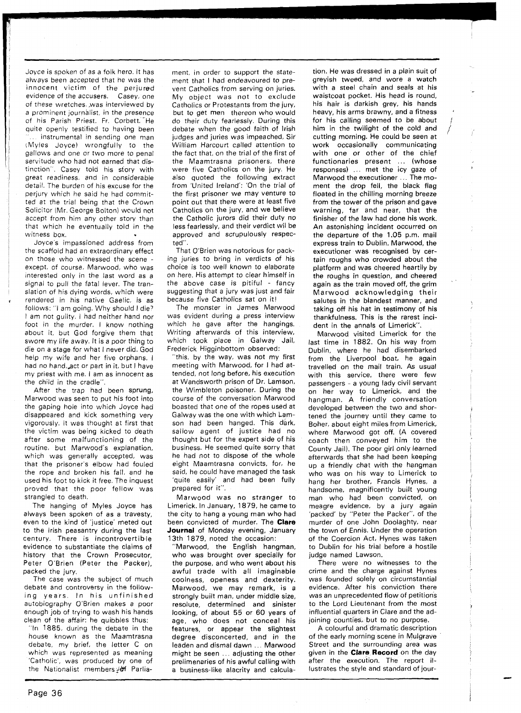Joyce is spoken of as a folk hero. It has always been accepted that he was the innocent victim of the perjured evidence of the accusers. Casey, one of these wretches. ,was interviewed by a prominent journalist, in the presence of his Parish Priest. Fr. Corbett. He quite openly testified to having been instrumental in sending one man (Myles Joyce) wrongfully to the gallows and one or two more to penal servitude who had not earned that distinction". Casey told his story with great readiness, and in considerable detail. The burden of his excuse for the perjury which he said he had committed at the trial being that the Crown Solicitor (Mr. George Bolton) wculd not accept from him any other story than that which he eventually told in the witness box.

Joyce's impassioned address from the scaffold had an extraordinary effect on those who witnessed the scene - except, of course. Marwood, who was interested only in the last word as a signal to pull the fatal lever. The translation of his dying words, which were rendered in his native Gaelic, is as follows: "I am going. Why should I die? I am not guilty. I had neither hand nor foot in the murder. I know nothing about it, but God forgive them that swore my life away. It is a poor thing to die on a stage for what I never did. God help my wife and her five orphans. I had no hand, act or part in it, but I have my priest with me. I am as innocent as the child in the cradle".

After the trap had been sprung, Marwood was seen to put his foot into the gaping hole into which Joyce had disappeared and kick something very vigorously. It was thought at first that the victim was being kicked to death after some malfunctioning of the routine, but Marwood's explanation, which was generally accepted, was that the prisoner's elbow had fouled the rope and broken his fall, and he used his foot to kick it free. The inquest proved that the poor fellow was strangled to death.

The hanging of Myles Joyce has always been spoken of as a travesty, even to the kind of 'justice' meted out to the lrish peasantry during the last century. There is incontrovertible evidence to substantiate the claims of history that the Crown Prosecutor, Peter O'Brien (Peter the Packer), packed the jury.

The case was the subject of much debate and controversy in the following years. In his unfinished autobiography O'Brien makes a poor enough job of trying to wash his hands clean of the affair: he quibbles thus:

"In 1885, during the debate in the house known as the Maamtrasna debate, my brief, the letter C on which was represented as meaning 'Catholic', was produced by one of the Nationalist members;if Parliament, in order to support the statement that I had endeavoured to prevent Catholics from serving on juries. My object was not to exclude Catholics or Protestants from the jury, but to get men thereon who would do their duty fearlessly. During this debate when the good faith of lrish judges and juries was impeached, Sir William Harcourt called attention to the fact that, on the trial of the first of the Maamtrasna prisoners, there were five Catholics on the jury. He also quoted the following extract from 'United Ireland': 'On the trial of the first prisoner we may venture to point out that there were at least five Catholics on the jury, and we believe the Catholic jurors did their duty no less fearlessly, and their verdict wil be approved and scrupulously respected".

That O'Brien was notorious for packing juries to bring in verdicts of his choice is too well known to elaborate on here. His attempt to clear himself in the above case is pitiful - fancy suggesting that a jury was just and fair because five Catholics sat on it!

The monster in James Marwood was evident during a press interview which he gave after the hangings. Writing afterwards of this interview, which took place in Galway Jail, Frederick Higginbottom observed:

"this, by the way, was not my first meeting with Marwood, for I had attended, not long before, his execution at Wandsworth prison of Dr. Lamson, the Wimbleton poisoner. During the course of the conversation Marwood boasted that one of the ropes used at Galway was the one with which Lamson had been hanged. This dark, sallow agent of justice had no thought but for the expert side of his business. He seemed quite sorry that he had not to dispose of the whole eight Maamtrasna convicts, for, he said, he could have managed the task 'quite easily' and had been fully prepared for it".

Marwood was no stranger to Limerick. In January, 1879, he came to the city to hang a young man who had been convicted of murder. The **Clare Journal** of Monday evening, January 13th 1879, noted the occasion:

'Marwood, the English hangman, who was brought over specially for the purpose, and who went about his awful trade with all imaginable coolness, openess and dexterity. Marwood, we may remark, is a strongly built man, under middle size, resolute, determined and sinister looking, of about 55 or 60 years of age, who does not conceal his features, or appear the slightest degree disconcerted, and in the leaden and dismal dawn ... Marwood might be seen ... adjusting the other prelimenaries of his awful calling with a business-like alacrity and calculation. He was dressed in a plain suit of greyish tweed, and wore a watch with a steel chain and seals at his waistcoat pocket. His head is round, his hair is darkish grey, his hands heavy, his arms brawny, and a fitness for his calling seemed to be about him in the twilight of the cold and cutting morning. He could be seen at work occasionally communicating with one or other of the chief functionaries present ... (whose responses) . . met the icy gaze of Marwood the executioner ... The moment the drop fell, the black flag floated in the chilling morning breeze from the tower of the prison and gave warning, far and near, that the finisher of the law had done his work. An astonishing incident occurred on the departure of the 1.05 p.m. mail express train to Dublin. Marwood, the executioner was recognised by certain roughs who crowded about the platform and was cheered heartily by the roughs in question, and cheered again as the train moved off, the grim Marwood acknowledging their salutes in the blandest manner, and taking off his hat in testimony of his thankfulness. This is the rarest incident in the annals of Limerick".

Marwood visited Limerick for the last time in 1882. On his way from Dublin, where he had disembarked from the Liverpool boat, he again travelled on the mail train. As usual with this service, there were few passengers - a young lady civil servant on her way to Limerick, and the hangman. A friendly conversation developed between the two and shortened the journey until they came to Boher, about eight miles from Limerick, where Marwood got off. (A covered coach then conveyed him to the County Jail). The poor girl only learned afterwards that she had been keeping up a friendly chat with the hangman who was on his way to Limerick to hang her brother, Francis Hynes, a handsome, magnificently built young man who had been convicted, on meagre evidence, by a jury again 'packed' by "Peter the Packer", of the murder of one John Doolaghty, near the town of Ennis. Under the operation of the Coercion Act, Hynes was taken to Dublin for his trial before a hostile judge named Lawson.

There were no witnesses to the crime and the charge against Hynes was founded solely on circumstantial evidence. After his conviction there was an unprecedented flow of petitions to the Lord Lieutenant from the most influential quarters in Clare and the adjoining counties. but to no purpose.

A colourful and dramatic description of the early morning scene in Mulgrave Street and the surrounding area was given in the **Clare Record** on the day after the execution. The report illustrates the style and standard of jour-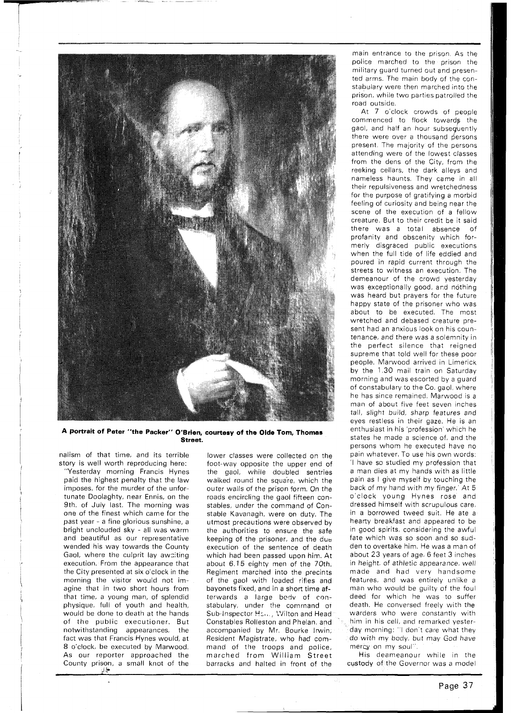

**A portrait of Peter "the Packer" O'Brien, courtesy of the Olde Tom, Thomas Street.** 

nalism of that time, and its terrible story is well worth reproducing here:

"Yesterday morning Francis Hynes paid the highest penalty that the law imposes, for the murder of the unfortunate Doolaghty, near Ennis, on the 9th. of July last. The morning was one of the finest which came for the past year - a fine glorious sunshine, a bright unclouded sky - all was warm and beautiful as our representative wended his way towards the County Gaol, where the culprit lay awaiting execution. From the appearance that the City presented at six o'clock in the morning the visitor would not imagine that in two short hours from that time, a young man, of splendid physique, full of youth and health, would be done to death at the hands of the public executioner. But notwithstanding appearances, the fact was that Francis Hynes would, at 8 o'clock, be executed by Marwood. As our reporter approached the County prison, a small knot of the **iL** 

lower classes were collected on the foot-way opposite the upper end of the gaol, while doubled sentries walked round the square, which the outer walls of the prison form. On the roads encircling the gaol fifteen constables, under the command of Constable Kavanagh, were on duty. The utmost precautions were observed by the authorities to ensure the safe keeping of the prisoner, and the due execution of the sentence of death which had been passed upon him. At about 6.15 eighty men of the 70th. Regiment marched into the precints of the gaol with loaded rifles and bayonets fixed, and in a short time afterwards a large bodv of constabulary, under the command of Sub-Inspector Hsm., Wilton and Head Constables Rolleston and Phelan, and accompanied by Mr. Bourke Irwin, Resident Magistrate, who had command of the troops and police, marched from William Street barracks and halted in front of the

main entrance to the prison. As the police marched to the prison the military guard turned out and presented arms. The main body of the constabulary were then marched into the prison, while two parties patrolled the road outside.

At 7 o'clock crowds of people commenced to flock towards the gaol, and half an hour subsequently there were over a thousand persons present. The majority of the persons attending were of the lowest classes from the dens of the City, from the reeking cellars, the dark alleys and nameless haunts. They came in all their repulsiveness and wretchedness for the purpose of gratifying a morbid feeling of curiosity and being near the scene of the execution of a fellow creature. But to their credit be it said<br>there was a total absence of there was a total absence profanity and obscenity which formerly disgraced public executions when the full tide of life eddied and poured in rapid current through the streets to witness an execution. The demeanour of the crowd yesterday was exceptionally good, ard nothing was heard but prayers for the future happy state of the prisoner who was about to be executed. The most wretched and debased creature present had an anxious look on his countenance, and there was a solemnity in the perfect silence that reigned supreme that told well for these poor people. Marwood arrived in Limerick by the 1.30 mail train on Saturday morning and was escorted by a guard of constabulary to the Co. gaol, where he has since remained. Marwood is a man of about five feet seven inches tall, slight build, sharp features and eyes restless in their gaze. He is an enthusiast in his 'profession' which he states he made a science of, and the persons whom he executed have no pain whatever. To use his own words: 'I have so studied my profession that a man dies at my hands with as little pain as I give myself by touching the back of my hand with my finger.' At 5 o'clock young Hynes rose and dressed himself with scrupulous care, in a borrowed tweed suit. He ate a hearty breakfast and appeared to be in good spirits, considering the awful fate which was so soon and so sudden to overtake him. He was a man of about 23 years of age, 6 feet 3 inches in height, of athletic appearance, well made and had very handsome features, and was entirely unlike a man who would be guilty of the foul deed for which he was to suffer death. He conversed freely with the warders who were constantly with him in his cell, and remarked yesterday morning: "I don't care what they do with my body, but may God have mercy on my soul".

His deameanour while in the custody of the Governor was a model